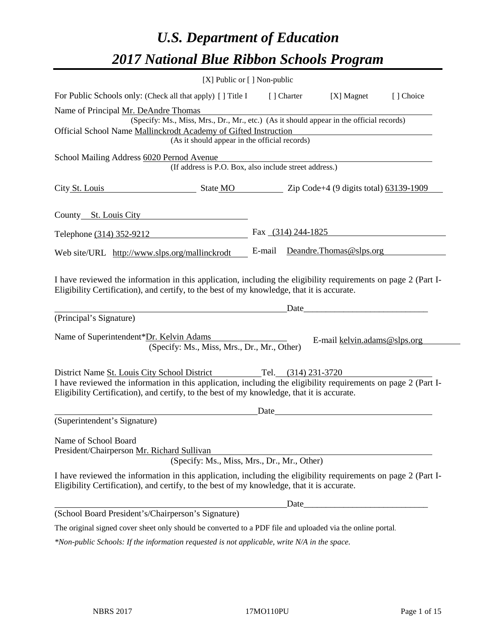# *U.S. Department of Education 2017 National Blue Ribbon Schools Program*

|                                                                    | [X] Public or [] Non-public                                                                                                                                                                                  |        |                      |                              |           |
|--------------------------------------------------------------------|--------------------------------------------------------------------------------------------------------------------------------------------------------------------------------------------------------------|--------|----------------------|------------------------------|-----------|
|                                                                    | For Public Schools only: (Check all that apply) [ ] Title I                                                                                                                                                  |        | [ ] Charter          | [X] Magnet                   | [] Choice |
| Name of Principal Mr. DeAndre Thomas                               |                                                                                                                                                                                                              |        |                      |                              |           |
|                                                                    | (Specify: Ms., Miss, Mrs., Dr., Mr., etc.) (As it should appear in the official records)                                                                                                                     |        |                      |                              |           |
|                                                                    | Official School Name Mallinckrodt Academy of Gifted Instruction<br>(As it should appear in the official records)                                                                                             |        |                      |                              |           |
|                                                                    |                                                                                                                                                                                                              |        |                      |                              |           |
| School Mailing Address 6020 Pernod Avenue                          | (If address is P.O. Box, also include street address.)                                                                                                                                                       |        |                      |                              |           |
| City St. Louis                                                     | $\frac{\text{State MO}}{\text{State MO}}$ $\frac{\text{Zip Code+4 (9 digits total)} 63139-1909}{\text{Signed total}}$                                                                                        |        |                      |                              |           |
| County St. Louis City                                              |                                                                                                                                                                                                              |        |                      |                              |           |
| Telephone (314) 352-9212                                           |                                                                                                                                                                                                              |        | Fax $(314)$ 244-1825 |                              |           |
| Web site/URL http://www.slps.org/mallinckrodt                      |                                                                                                                                                                                                              | E-mail |                      | Deandre. Thomas @slps.org    |           |
|                                                                    | I have reviewed the information in this application, including the eligibility requirements on page 2 (Part I-<br>Eligibility Certification), and certify, to the best of my knowledge, that it is accurate. |        | Date                 |                              |           |
| (Principal's Signature)                                            |                                                                                                                                                                                                              |        |                      |                              |           |
| Name of Superintendent*Dr. Kelvin Adams                            | (Specify: Ms., Miss, Mrs., Dr., Mr., Other)                                                                                                                                                                  |        |                      | E-mail kelvin.adams@slps.org |           |
|                                                                    | District Name St. Louis City School District Tel. (314) 231-3720                                                                                                                                             |        |                      |                              |           |
|                                                                    | I have reviewed the information in this application, including the eligibility requirements on page 2 (Part I-<br>Eligibility Certification), and certify, to the best of my knowledge, that it is accurate. |        |                      |                              |           |
|                                                                    |                                                                                                                                                                                                              | Date   |                      |                              |           |
| (Superintendent's Signature)                                       |                                                                                                                                                                                                              |        |                      |                              |           |
| Name of School Board<br>President/Chairperson Mr. Richard Sullivan | (Specify: Ms., Miss, Mrs., Dr., Mr., Other)                                                                                                                                                                  |        |                      |                              |           |
|                                                                    |                                                                                                                                                                                                              |        |                      |                              |           |
|                                                                    | I have reviewed the information in this application, including the eligibility requirements on page 2 (Part I-<br>Eligibility Certification), and certify, to the best of my knowledge, that it is accurate. |        |                      |                              |           |
|                                                                    |                                                                                                                                                                                                              |        | Date_                |                              |           |
| (School Board President's/Chairperson's Signature)                 |                                                                                                                                                                                                              |        |                      |                              |           |
|                                                                    | The original signed cover sheet only should be converted to a PDF file and uploaded via the online portal.                                                                                                   |        |                      |                              |           |
|                                                                    | *Non-public Schools: If the information requested is not applicable, write N/A in the space.                                                                                                                 |        |                      |                              |           |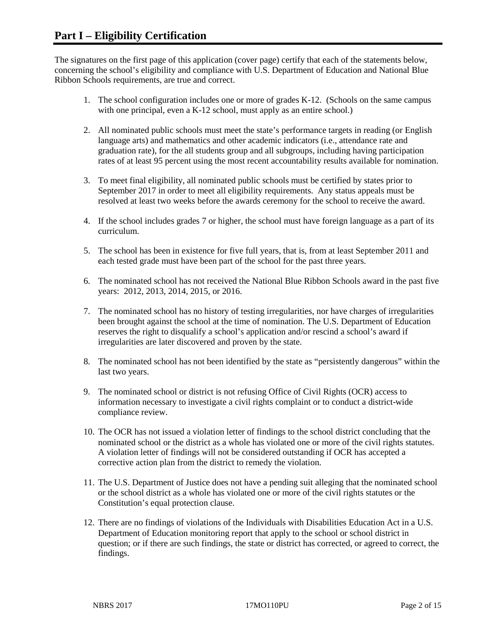The signatures on the first page of this application (cover page) certify that each of the statements below, concerning the school's eligibility and compliance with U.S. Department of Education and National Blue Ribbon Schools requirements, are true and correct.

- 1. The school configuration includes one or more of grades K-12. (Schools on the same campus with one principal, even a K-12 school, must apply as an entire school.)
- 2. All nominated public schools must meet the state's performance targets in reading (or English language arts) and mathematics and other academic indicators (i.e., attendance rate and graduation rate), for the all students group and all subgroups, including having participation rates of at least 95 percent using the most recent accountability results available for nomination.
- 3. To meet final eligibility, all nominated public schools must be certified by states prior to September 2017 in order to meet all eligibility requirements. Any status appeals must be resolved at least two weeks before the awards ceremony for the school to receive the award.
- 4. If the school includes grades 7 or higher, the school must have foreign language as a part of its curriculum.
- 5. The school has been in existence for five full years, that is, from at least September 2011 and each tested grade must have been part of the school for the past three years.
- 6. The nominated school has not received the National Blue Ribbon Schools award in the past five years: 2012, 2013, 2014, 2015, or 2016.
- 7. The nominated school has no history of testing irregularities, nor have charges of irregularities been brought against the school at the time of nomination. The U.S. Department of Education reserves the right to disqualify a school's application and/or rescind a school's award if irregularities are later discovered and proven by the state.
- 8. The nominated school has not been identified by the state as "persistently dangerous" within the last two years.
- 9. The nominated school or district is not refusing Office of Civil Rights (OCR) access to information necessary to investigate a civil rights complaint or to conduct a district-wide compliance review.
- 10. The OCR has not issued a violation letter of findings to the school district concluding that the nominated school or the district as a whole has violated one or more of the civil rights statutes. A violation letter of findings will not be considered outstanding if OCR has accepted a corrective action plan from the district to remedy the violation.
- 11. The U.S. Department of Justice does not have a pending suit alleging that the nominated school or the school district as a whole has violated one or more of the civil rights statutes or the Constitution's equal protection clause.
- 12. There are no findings of violations of the Individuals with Disabilities Education Act in a U.S. Department of Education monitoring report that apply to the school or school district in question; or if there are such findings, the state or district has corrected, or agreed to correct, the findings.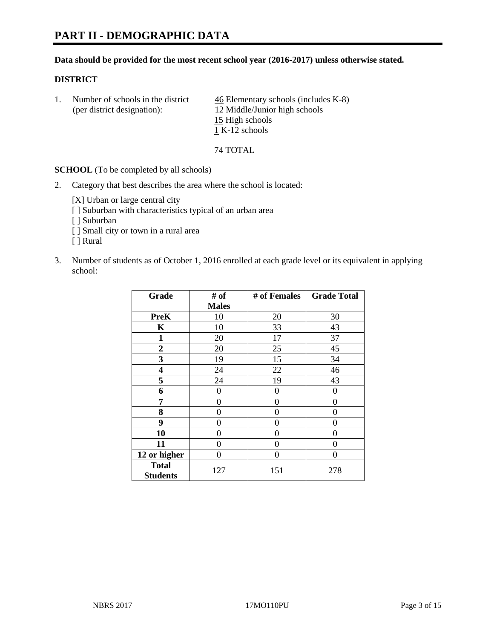# **PART II - DEMOGRAPHIC DATA**

#### **Data should be provided for the most recent school year (2016-2017) unless otherwise stated.**

#### **DISTRICT**

1. Number of schools in the district  $\frac{46}{2}$  Elementary schools (includes K-8) (per district designation): 12 Middle/Junior high schools 15 High schools 1 K-12 schools

74 TOTAL

**SCHOOL** (To be completed by all schools)

2. Category that best describes the area where the school is located:

[X] Urban or large central city [ ] Suburban with characteristics typical of an urban area

- [ ] Suburban
- [ ] Small city or town in a rural area
- [ ] Rural
- 3. Number of students as of October 1, 2016 enrolled at each grade level or its equivalent in applying school:

| Grade                           | # of         | # of Females | <b>Grade Total</b> |
|---------------------------------|--------------|--------------|--------------------|
|                                 | <b>Males</b> |              |                    |
| <b>PreK</b>                     | 10           | 20           | 30                 |
| $\mathbf K$                     | 10           | 33           | 43                 |
| $\mathbf{1}$                    | 20           | 17           | 37                 |
| $\overline{2}$                  | 20           | 25           | 45                 |
| 3                               | 19           | 15           | 34                 |
| 4                               | 24           | 22           | 46                 |
| 5                               | 24           | 19           | 43                 |
| 6                               | $\theta$     | $\theta$     | 0                  |
| 7                               | 0            | 0            | 0                  |
| 8                               | $\theta$     | $\theta$     | 0                  |
| 9                               | 0            | 0            | 0                  |
| 10                              | 0            | 0            | 0                  |
| 11                              | 0            | 0            | 0                  |
| 12 or higher                    | 0            | 0            | 0                  |
| <b>Total</b><br><b>Students</b> | 127          | 151          | 278                |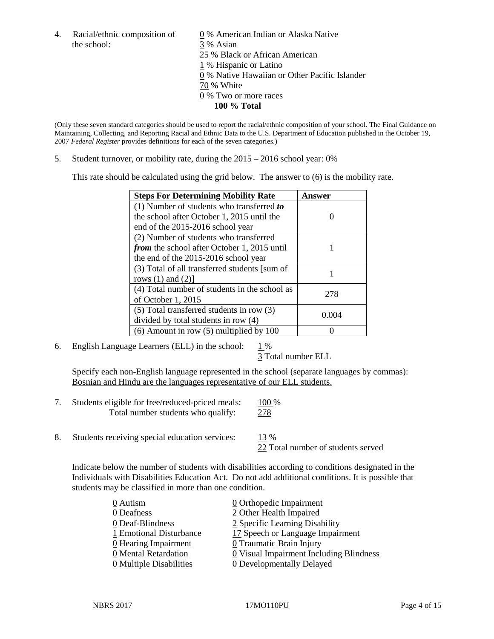the school: 3 % Asian

4. Racial/ethnic composition of  $\qquad 0 \%$  American Indian or Alaska Native 25 % Black or African American 1 % Hispanic or Latino 0 % Native Hawaiian or Other Pacific Islander 70 % White 0 % Two or more races **100 % Total**

(Only these seven standard categories should be used to report the racial/ethnic composition of your school. The Final Guidance on Maintaining, Collecting, and Reporting Racial and Ethnic Data to the U.S. Department of Education published in the October 19, 2007 *Federal Register* provides definitions for each of the seven categories.)

5. Student turnover, or mobility rate, during the 2015 – 2016 school year: 0%

This rate should be calculated using the grid below. The answer to (6) is the mobility rate.

| <b>Steps For Determining Mobility Rate</b>         | <b>Answer</b> |
|----------------------------------------------------|---------------|
| $(1)$ Number of students who transferred to        |               |
| the school after October 1, 2015 until the         |               |
| end of the 2015-2016 school year                   |               |
| (2) Number of students who transferred             |               |
| <i>from</i> the school after October 1, 2015 until |               |
| the end of the 2015-2016 school year               |               |
| (3) Total of all transferred students [sum of      |               |
| rows $(1)$ and $(2)$ ]                             |               |
| (4) Total number of students in the school as      | 278           |
| of October $1, 2015$                               |               |
| (5) Total transferred students in row (3)          |               |
| divided by total students in row (4)               | 0.004         |
| $(6)$ Amount in row $(5)$ multiplied by 100        |               |

6. English Language Learners (ELL) in the school:  $1\%$ 

3 Total number ELL

Specify each non-English language represented in the school (separate languages by commas): Bosnian and Hindu are the languages representative of our ELL students.

| Students eligible for free/reduced-priced meals: | 100 %       |
|--------------------------------------------------|-------------|
| Total number students who qualify:               | <u> 278</u> |

8. Students receiving special education services: 13 %

22 Total number of students served

Indicate below the number of students with disabilities according to conditions designated in the Individuals with Disabilities Education Act. Do not add additional conditions. It is possible that students may be classified in more than one condition.

| 0 Autism                              | $\underline{0}$ Orthopedic Impairment                 |
|---------------------------------------|-------------------------------------------------------|
| 0 Deafness                            | 2 Other Health Impaired                               |
| 0 Deaf-Blindness                      | 2 Specific Learning Disability                        |
| 1 Emotional Disturbance               | 17 Speech or Language Impairment                      |
| 0 Hearing Impairment                  | 0 Traumatic Brain Injury                              |
| 0 Mental Retardation                  | $\underline{0}$ Visual Impairment Including Blindness |
| $\underline{0}$ Multiple Disabilities | <b>0</b> Developmentally Delayed                      |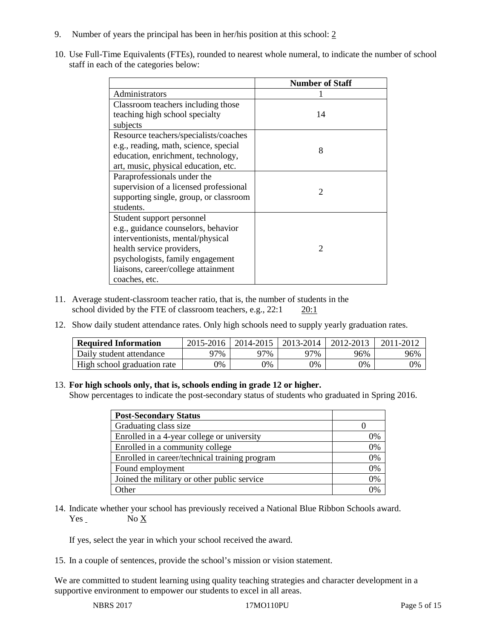- 9. Number of years the principal has been in her/his position at this school: 2
- 10. Use Full-Time Equivalents (FTEs), rounded to nearest whole numeral, to indicate the number of school staff in each of the categories below:

|                                        | <b>Number of Staff</b> |
|----------------------------------------|------------------------|
| Administrators                         |                        |
| Classroom teachers including those     |                        |
| teaching high school specialty         | 14                     |
| subjects                               |                        |
| Resource teachers/specialists/coaches  |                        |
| e.g., reading, math, science, special  | 8                      |
| education, enrichment, technology,     |                        |
| art, music, physical education, etc.   |                        |
| Paraprofessionals under the            |                        |
| supervision of a licensed professional | $\mathcal{D}$          |
| supporting single, group, or classroom |                        |
| students.                              |                        |
| Student support personnel              |                        |
| e.g., guidance counselors, behavior    |                        |
| interventionists, mental/physical      |                        |
| health service providers,              | $\mathcal{D}$          |
| psychologists, family engagement       |                        |
| liaisons, career/college attainment    |                        |
| coaches, etc.                          |                        |

- 11. Average student-classroom teacher ratio, that is, the number of students in the school divided by the FTE of classroom teachers, e.g., 22:1 20:1
- 12. Show daily student attendance rates. Only high schools need to supply yearly graduation rates.

| <b>Required Information</b> | 2015-2016 | 2014-2015 | 2013-2014 | 2012-2013 |     |
|-----------------------------|-----------|-----------|-----------|-----------|-----|
| Daily student attendance    | า7%       | 97%       | 97%       | 96%       | 96% |
| High school graduation rate | 0%        | 0%        | 0%        | 9%        | 0%  |

#### 13. **For high schools only, that is, schools ending in grade 12 or higher.**

Show percentages to indicate the post-secondary status of students who graduated in Spring 2016.

| <b>Post-Secondary Status</b>                  |    |
|-----------------------------------------------|----|
| Graduating class size                         |    |
| Enrolled in a 4-year college or university    | 0% |
| Enrolled in a community college               | 0% |
| Enrolled in career/technical training program | 0% |
| Found employment                              | 0% |
| Joined the military or other public service   | 0% |
| Other                                         |    |

14. Indicate whether your school has previously received a National Blue Ribbon Schools award. Yes No X

If yes, select the year in which your school received the award.

15. In a couple of sentences, provide the school's mission or vision statement.

We are committed to student learning using quality teaching strategies and character development in a supportive environment to empower our students to excel in all areas.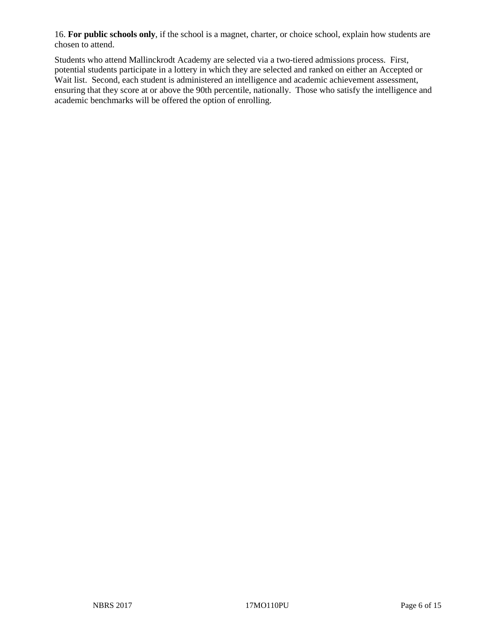16. **For public schools only**, if the school is a magnet, charter, or choice school, explain how students are chosen to attend.

Students who attend Mallinckrodt Academy are selected via a two-tiered admissions process. First, potential students participate in a lottery in which they are selected and ranked on either an Accepted or Wait list. Second, each student is administered an intelligence and academic achievement assessment, ensuring that they score at or above the 90th percentile, nationally. Those who satisfy the intelligence and academic benchmarks will be offered the option of enrolling.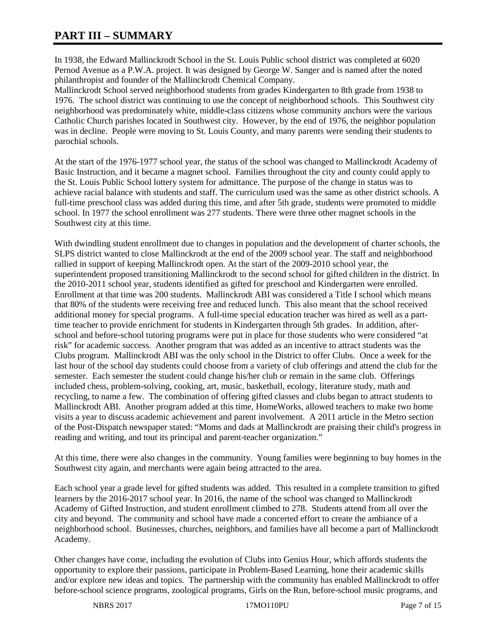# **PART III – SUMMARY**

In 1938, the Edward Mallinckrodt School in the St. Louis Public school district was completed at 6020 Pernod Avenue as a P.W.A. project. It was designed by George W. Sanger and is named after the noted philanthropist and founder of the Mallinckrodt Chemical Company.

Mallinckrodt School served neighborhood students from grades Kindergarten to 8th grade from 1938 to 1976. The school district was continuing to use the concept of neighborhood schools. This Southwest city neighborhood was predominately white, middle-class citizens whose community anchors were the various Catholic Church parishes located in Southwest city. However, by the end of 1976, the neighbor population was in decline. People were moving to St. Louis County, and many parents were sending their students to parochial schools.

At the start of the 1976-1977 school year, the status of the school was changed to Mallinckrodt Academy of Basic Instruction, and it became a magnet school. Families throughout the city and county could apply to the St. Louis Public School lottery system for admittance. The purpose of the change in status was to achieve racial balance with students and staff. The curriculum used was the same as other district schools. A full-time preschool class was added during this time, and after 5th grade, students were promoted to middle school. In 1977 the school enrollment was 277 students. There were three other magnet schools in the Southwest city at this time.

With dwindling student enrollment due to changes in population and the development of charter schools, the SLPS district wanted to close Mallinckrodt at the end of the 2009 school year. The staff and neighborhood rallied in support of keeping Mallinckrodt open. At the start of the 2009-2010 school year, the superintendent proposed transitioning Mallinckrodt to the second school for gifted children in the district. In the 2010-2011 school year, students identified as gifted for preschool and Kindergarten were enrolled. Enrollment at that time was 200 students. Mallinckrodt ABI was considered a Title I school which means that 80% of the students were receiving free and reduced lunch. This also meant that the school received additional money for special programs. A full-time special education teacher was hired as well as a parttime teacher to provide enrichment for students in Kindergarten through 5th grades. In addition, afterschool and before-school tutoring programs were put in place for those students who were considered "at risk" for academic success. Another program that was added as an incentive to attract students was the Clubs program. Mallinckrodt ABI was the only school in the District to offer Clubs. Once a week for the last hour of the school day students could choose from a variety of club offerings and attend the club for the semester. Each semester the student could change his/her club or remain in the same club. Offerings included chess, problem-solving, cooking, art, music, basketball, ecology, literature study, math and recycling, to name a few. The combination of offering gifted classes and clubs began to attract students to Mallinckrodt ABI. Another program added at this time, HomeWorks, allowed teachers to make two home visits a year to discuss academic achievement and parent involvement. A 2011 article in the Metro section of the Post-Dispatch newspaper stated: "Moms and dads at Mallinckrodt are praising their child's progress in reading and writing, and tout its principal and parent-teacher organization."

At this time, there were also changes in the community. Young families were beginning to buy homes in the Southwest city again, and merchants were again being attracted to the area.

Each school year a grade level for gifted students was added. This resulted in a complete transition to gifted learners by the 2016-2017 school year. In 2016, the name of the school was changed to Mallinckrodt Academy of Gifted Instruction, and student enrollment climbed to 278. Students attend from all over the city and beyond. The community and school have made a concerted effort to create the ambiance of a neighborhood school. Businesses, churches, neighbors, and families have all become a part of Mallinckrodt Academy.

Other changes have come, including the evolution of Clubs into Genius Hour, which affords students the opportunity to explore their passions, participate in Problem-Based Learning, hone their academic skills and/or explore new ideas and topics. The partnership with the community has enabled Mallinckrodt to offer before-school science programs, zoological programs, Girls on the Run, before-school music programs, and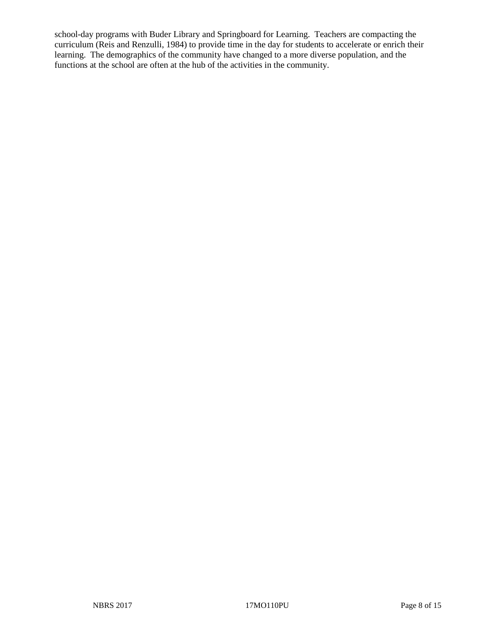school-day programs with Buder Library and Springboard for Learning. Teachers are compacting the curriculum (Reis and Renzulli, 1984) to provide time in the day for students to accelerate or enrich their learning. The demographics of the community have changed to a more diverse population, and the functions at the school are often at the hub of the activities in the community.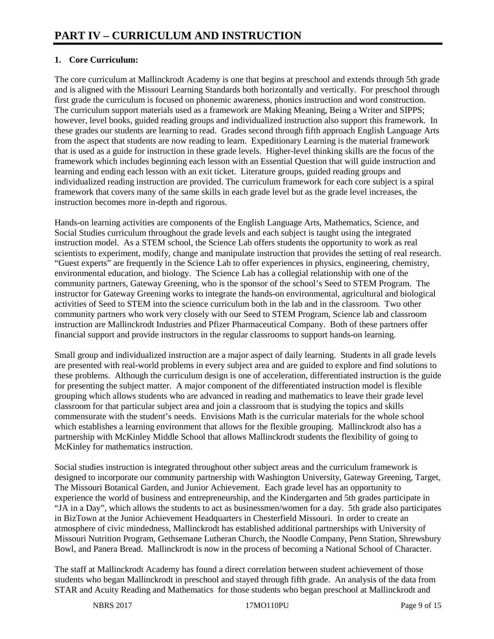## **1. Core Curriculum:**

The core curriculum at Mallinckrodt Academy is one that begins at preschool and extends through 5th grade and is aligned with the Missouri Learning Standards both horizontally and vertically. For preschool through first grade the curriculum is focused on phonemic awareness, phonics instruction and word construction. The curriculum support materials used as a framework are Making Meaning, Being a Writer and SIPPS; however, level books, guided reading groups and individualized instruction also support this framework. In these grades our students are learning to read. Grades second through fifth approach English Language Arts from the aspect that students are now reading to learn. Expeditionary Learning is the material framework that is used as a guide for instruction in these grade levels. Higher-level thinking skills are the focus of the framework which includes beginning each lesson with an Essential Question that will guide instruction and learning and ending each lesson with an exit ticket. Literature groups, guided reading groups and individualized reading instruction are provided. The curriculum framework for each core subject is a spiral framework that covers many of the same skills in each grade level but as the grade level increases, the instruction becomes more in-depth and rigorous.

Hands-on learning activities are components of the English Language Arts, Mathematics, Science, and Social Studies curriculum throughout the grade levels and each subject is taught using the integrated instruction model. As a STEM school, the Science Lab offers students the opportunity to work as real scientists to experiment, modify, change and manipulate instruction that provides the setting of real research. "Guest experts" are frequently in the Science Lab to offer experiences in physics, engineering, chemistry, environmental education, and biology. The Science Lab has a collegial relationship with one of the community partners, Gateway Greening, who is the sponsor of the school's Seed to STEM Program. The instructor for Gateway Greening works to integrate the hands-on environmental, agricultural and biological activities of Seed to STEM into the science curriculum both in the lab and in the classroom. Two other community partners who work very closely with our Seed to STEM Program, Science lab and classroom instruction are Mallinckrodt Industries and Pfizer Pharmaceutical Company. Both of these partners offer financial support and provide instructors in the regular classrooms to support hands-on learning.

Small group and individualized instruction are a major aspect of daily learning. Students in all grade levels are presented with real-world problems in every subject area and are guided to explore and find solutions to these problems. Although the curriculum design is one of acceleration, differentiated instruction is the guide for presenting the subject matter. A major component of the differentiated instruction model is flexible grouping which allows students who are advanced in reading and mathematics to leave their grade level classroom for that particular subject area and join a classroom that is studying the topics and skills commensurate with the student's needs. Envisions Math is the curricular materials for the whole school which establishes a learning environment that allows for the flexible grouping. Mallinckrodt also has a partnership with McKinley Middle School that allows Mallinckrodt students the flexibility of going to McKinley for mathematics instruction.

Social studies instruction is integrated throughout other subject areas and the curriculum framework is designed to incorporate our community partnership with Washington University, Gateway Greening, Target, The Missouri Botanical Garden, and Junior Achievement. Each grade level has an opportunity to experience the world of business and entrepreneurship, and the Kindergarten and 5th grades participate in "JA in a Day", which allows the students to act as businessmen/women for a day. 5th grade also participates in BizTown at the Junior Achievement Headquarters in Chesterfield Missouri. In order to create an atmosphere of civic mindedness, Mallinckrodt has established additional partnerships with University of Missouri Nutrition Program, Gethsemane Lutheran Church, the Noodle Company, Penn Station, Shrewsbury Bowl, and Panera Bread. Mallinckrodt is now in the process of becoming a National School of Character.

The staff at Mallinckrodt Academy has found a direct correlation between student achievement of those students who began Mallinckrodt in preschool and stayed through fifth grade. An analysis of the data from STAR and Acuity Reading and Mathematics for those students who began preschool at Mallinckrodt and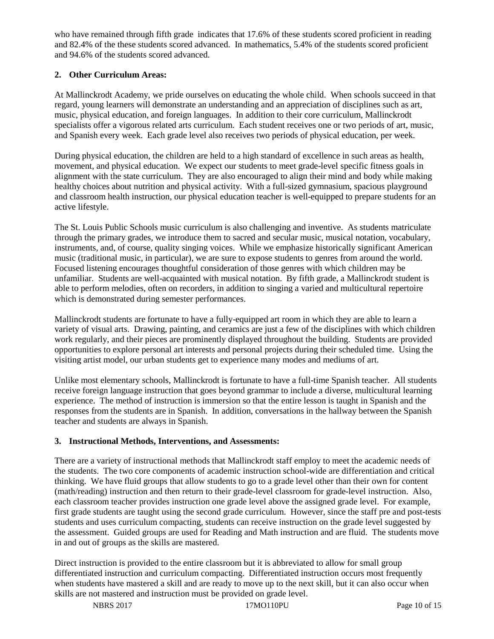who have remained through fifth grade indicates that 17.6% of these students scored proficient in reading and 82.4% of the these students scored advanced. In mathematics, 5.4% of the students scored proficient and 94.6% of the students scored advanced.

## **2. Other Curriculum Areas:**

At Mallinckrodt Academy, we pride ourselves on educating the whole child. When schools succeed in that regard, young learners will demonstrate an understanding and an appreciation of disciplines such as art, music, physical education, and foreign languages. In addition to their core curriculum, Mallinckrodt specialists offer a vigorous related arts curriculum. Each student receives one or two periods of art, music, and Spanish every week. Each grade level also receives two periods of physical education, per week.

During physical education, the children are held to a high standard of excellence in such areas as health, movement, and physical education. We expect our students to meet grade-level specific fitness goals in alignment with the state curriculum. They are also encouraged to align their mind and body while making healthy choices about nutrition and physical activity. With a full-sized gymnasium, spacious playground and classroom health instruction, our physical education teacher is well-equipped to prepare students for an active lifestyle.

The St. Louis Public Schools music curriculum is also challenging and inventive. As students matriculate through the primary grades, we introduce them to sacred and secular music, musical notation, vocabulary, instruments, and, of course, quality singing voices. While we emphasize historically significant American music (traditional music, in particular), we are sure to expose students to genres from around the world. Focused listening encourages thoughtful consideration of those genres with which children may be unfamiliar. Students are well-acquainted with musical notation. By fifth grade, a Mallinckrodt student is able to perform melodies, often on recorders, in addition to singing a varied and multicultural repertoire which is demonstrated during semester performances.

Mallinckrodt students are fortunate to have a fully-equipped art room in which they are able to learn a variety of visual arts. Drawing, painting, and ceramics are just a few of the disciplines with which children work regularly, and their pieces are prominently displayed throughout the building. Students are provided opportunities to explore personal art interests and personal projects during their scheduled time. Using the visiting artist model, our urban students get to experience many modes and mediums of art.

Unlike most elementary schools, Mallinckrodt is fortunate to have a full-time Spanish teacher. All students receive foreign language instruction that goes beyond grammar to include a diverse, multicultural learning experience. The method of instruction is immersion so that the entire lesson is taught in Spanish and the responses from the students are in Spanish. In addition, conversations in the hallway between the Spanish teacher and students are always in Spanish.

#### **3. Instructional Methods, Interventions, and Assessments:**

There are a variety of instructional methods that Mallinckrodt staff employ to meet the academic needs of the students. The two core components of academic instruction school-wide are differentiation and critical thinking. We have fluid groups that allow students to go to a grade level other than their own for content (math/reading) instruction and then return to their grade-level classroom for grade-level instruction. Also, each classroom teacher provides instruction one grade level above the assigned grade level. For example, first grade students are taught using the second grade curriculum. However, since the staff pre and post-tests students and uses curriculum compacting, students can receive instruction on the grade level suggested by the assessment. Guided groups are used for Reading and Math instruction and are fluid. The students move in and out of groups as the skills are mastered.

Direct instruction is provided to the entire classroom but it is abbreviated to allow for small group differentiated instruction and curriculum compacting. Differentiated instruction occurs most frequently when students have mastered a skill and are ready to move up to the next skill, but it can also occur when skills are not mastered and instruction must be provided on grade level.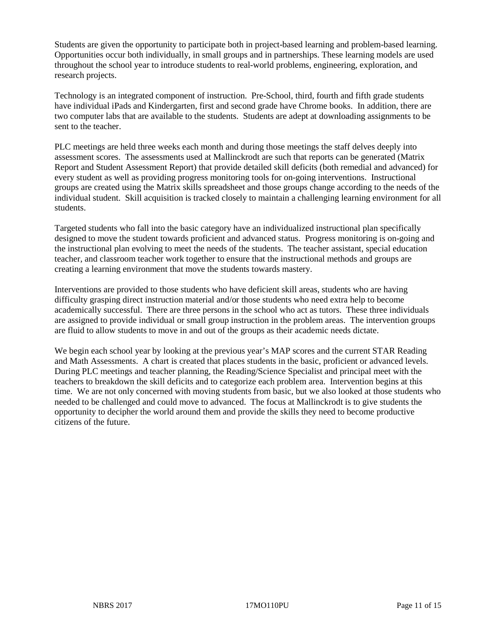Students are given the opportunity to participate both in project-based learning and problem-based learning. Opportunities occur both individually, in small groups and in partnerships. These learning models are used throughout the school year to introduce students to real-world problems, engineering, exploration, and research projects.

Technology is an integrated component of instruction. Pre-School, third, fourth and fifth grade students have individual iPads and Kindergarten, first and second grade have Chrome books. In addition, there are two computer labs that are available to the students. Students are adept at downloading assignments to be sent to the teacher.

PLC meetings are held three weeks each month and during those meetings the staff delves deeply into assessment scores. The assessments used at Mallinckrodt are such that reports can be generated (Matrix Report and Student Assessment Report) that provide detailed skill deficits (both remedial and advanced) for every student as well as providing progress monitoring tools for on-going interventions. Instructional groups are created using the Matrix skills spreadsheet and those groups change according to the needs of the individual student. Skill acquisition is tracked closely to maintain a challenging learning environment for all students.

Targeted students who fall into the basic category have an individualized instructional plan specifically designed to move the student towards proficient and advanced status. Progress monitoring is on-going and the instructional plan evolving to meet the needs of the students. The teacher assistant, special education teacher, and classroom teacher work together to ensure that the instructional methods and groups are creating a learning environment that move the students towards mastery.

Interventions are provided to those students who have deficient skill areas, students who are having difficulty grasping direct instruction material and/or those students who need extra help to become academically successful. There are three persons in the school who act as tutors. These three individuals are assigned to provide individual or small group instruction in the problem areas. The intervention groups are fluid to allow students to move in and out of the groups as their academic needs dictate.

We begin each school year by looking at the previous year's MAP scores and the current STAR Reading and Math Assessments. A chart is created that places students in the basic, proficient or advanced levels. During PLC meetings and teacher planning, the Reading/Science Specialist and principal meet with the teachers to breakdown the skill deficits and to categorize each problem area. Intervention begins at this time. We are not only concerned with moving students from basic, but we also looked at those students who needed to be challenged and could move to advanced. The focus at Mallinckrodt is to give students the opportunity to decipher the world around them and provide the skills they need to become productive citizens of the future.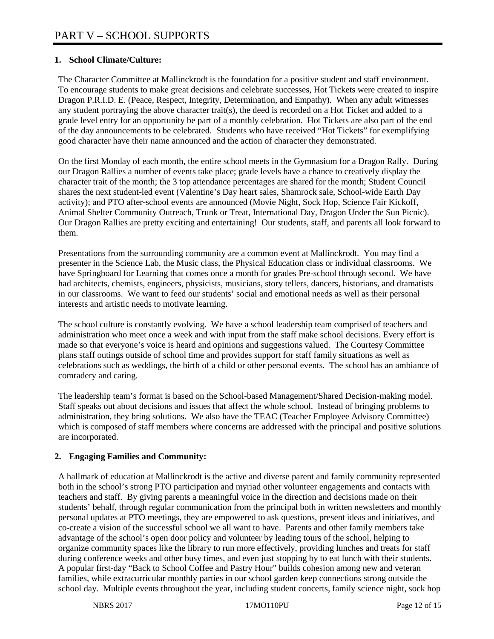## **1. School Climate/Culture:**

The Character Committee at Mallinckrodt is the foundation for a positive student and staff environment. To encourage students to make great decisions and celebrate successes, Hot Tickets were created to inspire Dragon P.R.I.D. E. (Peace, Respect, Integrity, Determination, and Empathy). When any adult witnesses any student portraying the above character trait(s), the deed is recorded on a Hot Ticket and added to a grade level entry for an opportunity be part of a monthly celebration. Hot Tickets are also part of the end of the day announcements to be celebrated. Students who have received "Hot Tickets" for exemplifying good character have their name announced and the action of character they demonstrated.

On the first Monday of each month, the entire school meets in the Gymnasium for a Dragon Rally. During our Dragon Rallies a number of events take place; grade levels have a chance to creatively display the character trait of the month; the 3 top attendance percentages are shared for the month; Student Council shares the next student-led event (Valentine's Day heart sales, Shamrock sale, School-wide Earth Day activity); and PTO after-school events are announced (Movie Night, Sock Hop, Science Fair Kickoff, Animal Shelter Community Outreach, Trunk or Treat, International Day, Dragon Under the Sun Picnic). Our Dragon Rallies are pretty exciting and entertaining! Our students, staff, and parents all look forward to them.

Presentations from the surrounding community are a common event at Mallinckrodt. You may find a presenter in the Science Lab, the Music class, the Physical Education class or individual classrooms. We have Springboard for Learning that comes once a month for grades Pre-school through second. We have had architects, chemists, engineers, physicists, musicians, story tellers, dancers, historians, and dramatists in our classrooms. We want to feed our students' social and emotional needs as well as their personal interests and artistic needs to motivate learning.

The school culture is constantly evolving. We have a school leadership team comprised of teachers and administration who meet once a week and with input from the staff make school decisions. Every effort is made so that everyone's voice is heard and opinions and suggestions valued. The Courtesy Committee plans staff outings outside of school time and provides support for staff family situations as well as celebrations such as weddings, the birth of a child or other personal events. The school has an ambiance of comradery and caring.

The leadership team's format is based on the School-based Management/Shared Decision-making model. Staff speaks out about decisions and issues that affect the whole school. Instead of bringing problems to administration, they bring solutions. We also have the TEAC (Teacher Employee Advisory Committee) which is composed of staff members where concerns are addressed with the principal and positive solutions are incorporated.

## **2. Engaging Families and Community:**

A hallmark of education at Mallinckrodt is the active and diverse parent and family community represented both in the school's strong PTO participation and myriad other volunteer engagements and contacts with teachers and staff. By giving parents a meaningful voice in the direction and decisions made on their students' behalf, through regular communication from the principal both in written newsletters and monthly personal updates at PTO meetings, they are empowered to ask questions, present ideas and initiatives, and co-create a vision of the successful school we all want to have. Parents and other family members take advantage of the school's open door policy and volunteer by leading tours of the school, helping to organize community spaces like the library to run more effectively, providing lunches and treats for staff during conference weeks and other busy times, and even just stopping by to eat lunch with their students. A popular first-day "Back to School Coffee and Pastry Hour" builds cohesion among new and veteran families, while extracurricular monthly parties in our school garden keep connections strong outside the school day. Multiple events throughout the year, including student concerts, family science night, sock hop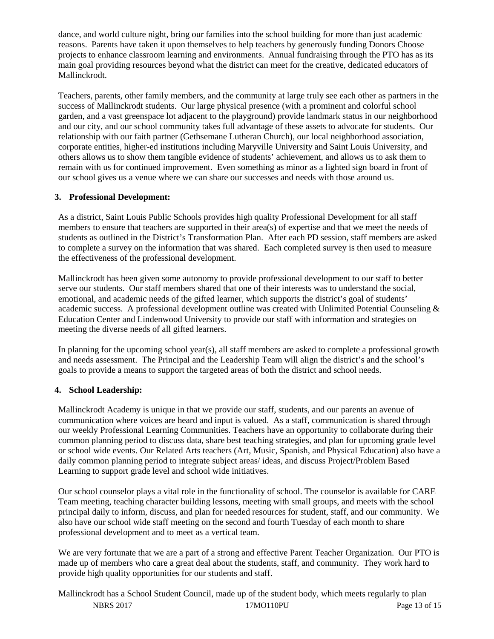dance, and world culture night, bring our families into the school building for more than just academic reasons. Parents have taken it upon themselves to help teachers by generously funding Donors Choose projects to enhance classroom learning and environments. Annual fundraising through the PTO has as its main goal providing resources beyond what the district can meet for the creative, dedicated educators of Mallinckrodt.

Teachers, parents, other family members, and the community at large truly see each other as partners in the success of Mallinckrodt students. Our large physical presence (with a prominent and colorful school garden, and a vast greenspace lot adjacent to the playground) provide landmark status in our neighborhood and our city, and our school community takes full advantage of these assets to advocate for students. Our relationship with our faith partner (Gethsemane Lutheran Church), our local neighborhood association, corporate entities, higher-ed institutions including Maryville University and Saint Louis University, and others allows us to show them tangible evidence of students' achievement, and allows us to ask them to remain with us for continued improvement. Even something as minor as a lighted sign board in front of our school gives us a venue where we can share our successes and needs with those around us.

#### **3. Professional Development:**

As a district, Saint Louis Public Schools provides high quality Professional Development for all staff members to ensure that teachers are supported in their area(s) of expertise and that we meet the needs of students as outlined in the District's Transformation Plan. After each PD session, staff members are asked to complete a survey on the information that was shared. Each completed survey is then used to measure the effectiveness of the professional development.

Mallinckrodt has been given some autonomy to provide professional development to our staff to better serve our students. Our staff members shared that one of their interests was to understand the social, emotional, and academic needs of the gifted learner, which supports the district's goal of students' academic success. A professional development outline was created with Unlimited Potential Counseling & Education Center and Lindenwood University to provide our staff with information and strategies on meeting the diverse needs of all gifted learners.

In planning for the upcoming school year(s), all staff members are asked to complete a professional growth and needs assessment. The Principal and the Leadership Team will align the district's and the school's goals to provide a means to support the targeted areas of both the district and school needs.

#### **4. School Leadership:**

Mallinckrodt Academy is unique in that we provide our staff, students, and our parents an avenue of communication where voices are heard and input is valued. As a staff, communication is shared through our weekly Professional Learning Communities. Teachers have an opportunity to collaborate during their common planning period to discuss data, share best teaching strategies, and plan for upcoming grade level or school wide events. Our Related Arts teachers (Art, Music, Spanish, and Physical Education) also have a daily common planning period to integrate subject areas/ ideas, and discuss Project/Problem Based Learning to support grade level and school wide initiatives.

Our school counselor plays a vital role in the functionality of school. The counselor is available for CARE Team meeting, teaching character building lessons, meeting with small groups, and meets with the school principal daily to inform, discuss, and plan for needed resources for student, staff, and our community. We also have our school wide staff meeting on the second and fourth Tuesday of each month to share professional development and to meet as a vertical team.

We are very fortunate that we are a part of a strong and effective Parent Teacher Organization. Our PTO is made up of members who care a great deal about the students, staff, and community. They work hard to provide high quality opportunities for our students and staff.

NBRS 2017 17MO110PU Page 13 of 15 Mallinckrodt has a School Student Council, made up of the student body, which meets regularly to plan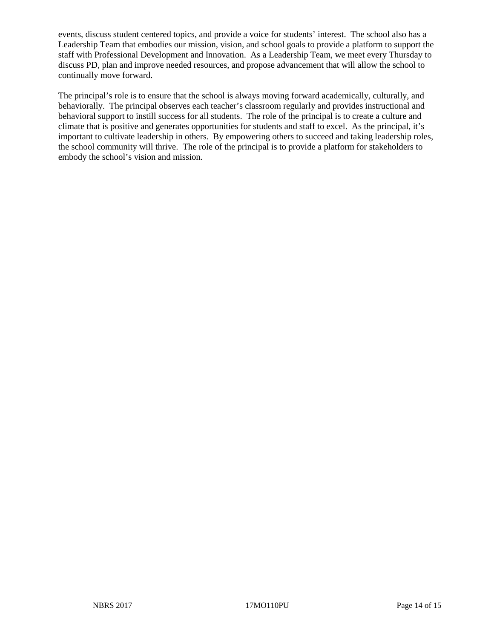events, discuss student centered topics, and provide a voice for students' interest. The school also has a Leadership Team that embodies our mission, vision, and school goals to provide a platform to support the staff with Professional Development and Innovation. As a Leadership Team, we meet every Thursday to discuss PD, plan and improve needed resources, and propose advancement that will allow the school to continually move forward.

The principal's role is to ensure that the school is always moving forward academically, culturally, and behaviorally. The principal observes each teacher's classroom regularly and provides instructional and behavioral support to instill success for all students. The role of the principal is to create a culture and climate that is positive and generates opportunities for students and staff to excel. As the principal, it's important to cultivate leadership in others. By empowering others to succeed and taking leadership roles, the school community will thrive. The role of the principal is to provide a platform for stakeholders to embody the school's vision and mission.